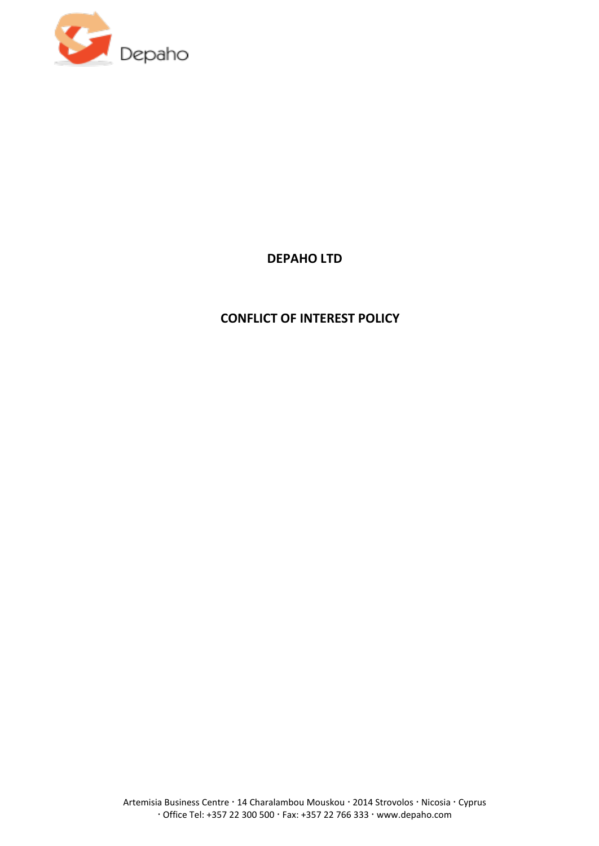

# **DEPAHO LTD**

# **CONFLICT OF INTEREST POLICY**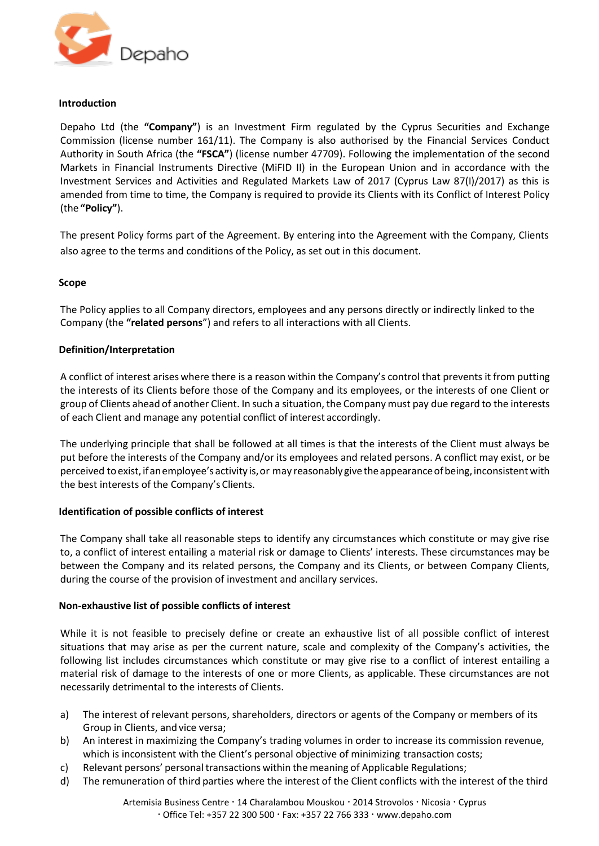

### **Introduction**

Depaho Ltd (the **"Company"**) is an Investment Firm regulated by the Cyprus Securities and Exchange Commission (license number 161/11). The Company is also authorised by the Financial Services Conduct Authority in South Africa (the **"FSCA"**) (license number 47709). Following the implementation of the second Markets in Financial Instruments Directive (MiFID II) in the European Union and in accordance with the Investment Services and Activities and Regulated Markets Law of 2017 (Cyprus Law 87(I)/2017) as this is amended from time to time, the Company is required to provide its Clients with its Conflict of Interest Policy (the **"Policy"**).

The present Policy forms part of the Agreement. By entering into the Agreement with the Company, Clients also agree to the terms and conditions of the Policy, as set out in this document.

## **Scope**

The Policy applies to all Company directors, employees and any persons directly or indirectly linked to the Company (the **"related persons**") and refers to all interactions with all Clients.

### **Definition/Interpretation**

A conflict of interest arises where there is a reason within the Company's control that prevents it from putting the interests of its Clients before those of the Company and its employees, or the interests of one Client or group of Clients ahead of another Client. In such a situation, the Company must pay due regard to the interests of each Client and manage any potential conflict of interest accordingly.

The underlying principle that shall be followed at all times is that the interests of the Client must always be put before the interests of the Company and/or its employees and related persons. A conflict may exist, or be perceived to exist, if an employee's activity is, or may reasonably give the appearance of being, inconsistent with the best interests of the Company's Clients.

## **Identification of possible conflicts of interest**

The Company shall take all reasonable steps to identify any circumstances which constitute or may give rise to, a conflict of interest entailing a material risk or damage to Clients' interests. These circumstances may be between the Company and its related persons, the Company and its Clients, or between Company Clients, during the course of the provision of investment and ancillary services.

#### **Non-exhaustive list of possible conflicts of interest**

While it is not feasible to precisely define or create an exhaustive list of all possible conflict of interest situations that may arise as per the current nature, scale and complexity of the Company's activities, the following list includes circumstances which constitute or may give rise to a conflict of interest entailing a material risk of damage to the interests of one or more Clients, as applicable. These circumstances are not necessarily detrimental to the interests of Clients.

- a) The interest of relevant persons, shareholders, directors or agents of the Company or members of its Group in Clients, and vice versa;
- b) An interest in maximizing the Company's trading volumes in order to increase its commission revenue, which is inconsistent with the Client's personal objective of minimizing transaction costs;
- c) Relevant persons' personal transactions within the meaning of Applicable Regulations;
- d) The remuneration of third parties where the interest of the Client conflicts with the interest of the third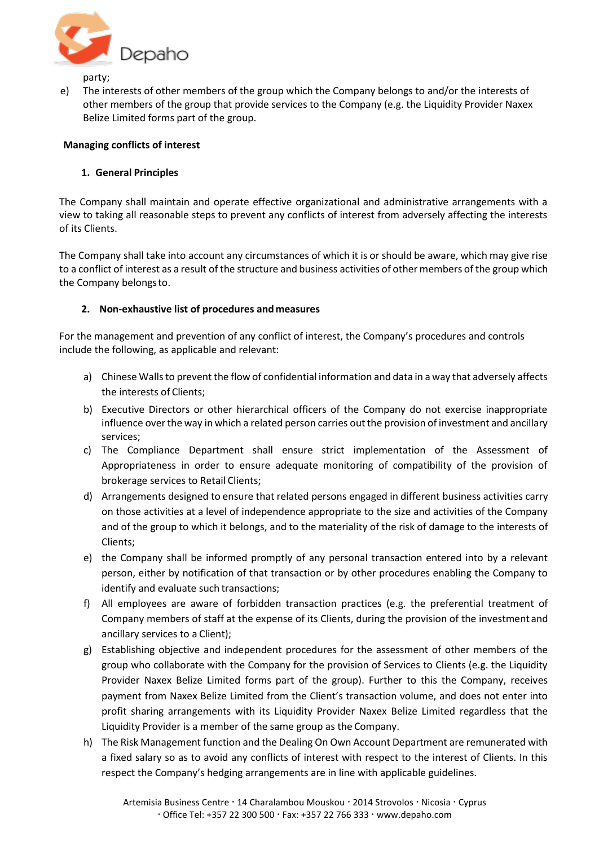

party;

e) The interests of other members of the group which the Company belongs to and/or the interests of other members of the group that provide services to the Company (e.g. the Liquidity Provider Naxex Belize Limited forms part of the group.

## **Managing conflicts of interest**

## **1. General Principles**

The Company shall maintain and operate effective organizational and administrative arrangements with a view to taking all reasonable steps to prevent any conflicts of interest from adversely affecting the interests of its Clients.

The Company shall take into account any circumstances of which it is or should be aware, which may give rise to a conflict of interest as a result of the structure and business activities of other members of the group which the Company belongsto.

## **2. Non-exhaustive list of procedures and measures**

For the management and prevention of any conflict of interest, the Company's procedures and controls include the following, as applicable and relevant:

- a) Chinese Walls to prevent the flow of confidential information and data in a way that adversely affects the interests of Clients;
- b) Executive Directors or other hierarchical officers of the Company do not exercise inappropriate influence over the way in which a related person carries out the provision of investment and ancillary services;
- c) The Compliance Department shall ensure strict implementation of the Assessment of Appropriateness in order to ensure adequate monitoring of compatibility of the provision of brokerage services to Retail Clients;
- d) Arrangements designed to ensure that related persons engaged in different business activities carry on those activities at a level of independence appropriate to the size and activities of the Company and of the group to which it belongs, and to the materiality of the risk of damage to the interests of Clients;
- e) the Company shall be informed promptly of any personal transaction entered into by a relevant person, either by notification of that transaction or by other procedures enabling the Company to identify and evaluate such transactions;
- f) All employees are aware of forbidden transaction practices (e.g. the preferential treatment of Company members of staff at the expense of its Clients, during the provision of the investment and ancillary services to a Client);
- g) Establishing objective and independent procedures for the assessment of other members of the group who collaborate with the Company for the provision of Services to Clients (e.g. the Liquidity Provider Naxex Belize Limited forms part of the group). Further to this the Company, receives payment from Naxex Belize Limited from the Client's transaction volume, and does not enter into profit sharing arrangements with its Liquidity Provider Naxex Belize Limited regardless that the Liquidity Provider is a member of the same group as the Company.
- h) The Risk Management function and the Dealing On Own Account Department are remunerated with a fixed salary so as to avoid any conflicts of interest with respect to the interest of Clients. In this respect the Company's hedging arrangements are in line with applicable guidelines.